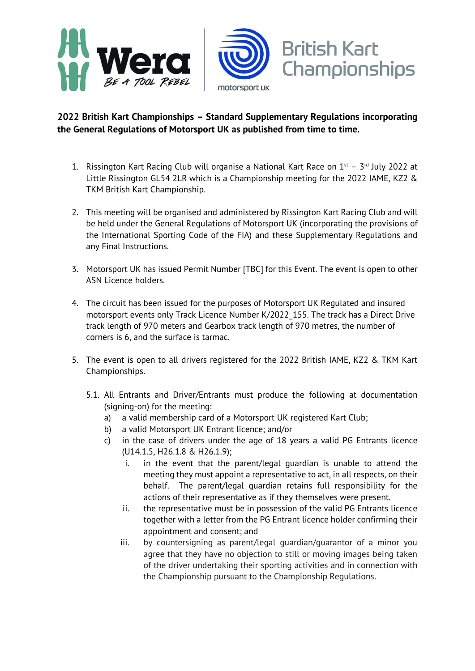

## **2022 British Kart Championships – Standard Supplementary Regulations incorporating the General Regulations of Motorsport UK as published from time to time.**

- 1. Rissington Kart Racing Club will organise a National Kart Race on  $1^{st}$   $3^{rd}$  July 2022 at Little Rissington GL54 2LR which is a Championship meeting for the 2022 IAME, KZ2 & TKM British Kart Championship.
- 2. This meeting will be organised and administered by Rissington Kart Racing Club and will be held under the General Regulations of Motorsport UK (incorporating the provisions of the International Sporting Code of the FIA) and these Supplementary Regulations and any Final Instructions.
- 3. Motorsport UK has issued Permit Number [TBC] for this Event. The event is open to other ASN Licence holders.
- 4. The circuit has been issued for the purposes of Motorsport UK Regulated and insured motorsport events only Track Licence Number K/2022\_155. The track has a Direct Drive track length of 970 meters and Gearbox track length of 970 metres, the number of corners is 6, and the surface is tarmac.
- 5. The event is open to all drivers registered for the 2022 British IAME, KZ2 & TKM Kart Championships.
	- 5.1. All Entrants and Driver/Entrants must produce the following at documentation (signing-on) for the meeting:
		- a) a valid membership card of a Motorsport UK registered Kart Club;
		- b) a valid Motorsport UK Entrant licence; and/or
		- c) in the case of drivers under the age of 18 years a valid PG Entrants licence (U14.1.5, H26.1.8 & H26.1.9);
			- i. in the event that the parent/legal guardian is unable to attend the meeting they must appoint a representative to act, in all respects, on their behalf. The parent/legal guardian retains full responsibility for the actions of their representative as if they themselves were present.
			- ii. the representative must be in possession of the valid PG Entrants licence together with a letter from the PG Entrant licence holder confirming their appointment and consent; and
			- iii. by countersigning as parent/legal guardian/guarantor of a minor you agree that they have no objection to still or moving images being taken of the driver undertaking their sporting activities and in connection with the Championship pursuant to the Championship Regulations.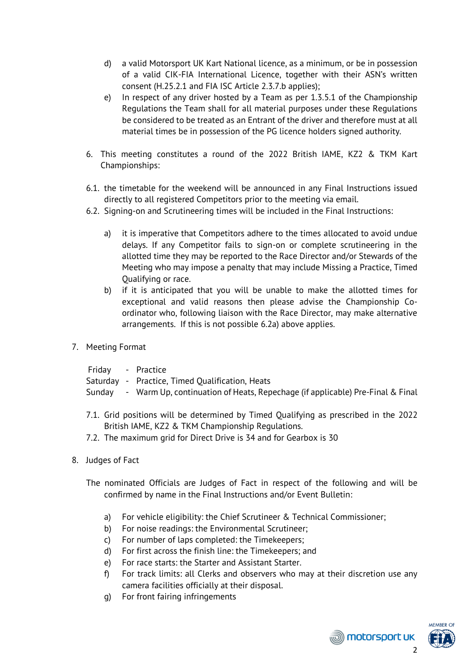- d) a valid Motorsport UK Kart National licence, as a minimum, or be in possession of a valid CIK-FIA International Licence, together with their ASN's written consent (H.25.2.1 and FIA ISC Article 2.3.7.b applies);
- e) In respect of any driver hosted by a Team as per 1.3.5.1 of the Championship Regulations the Team shall for all material purposes under these Regulations be considered to be treated as an Entrant of the driver and therefore must at all material times be in possession of the PG licence holders signed authority.
- 6. This meeting constitutes a round of the 2022 British IAME, KZ2 & TKM Kart Championships:
- 6.1. the timetable for the weekend will be announced in any Final Instructions issued directly to all registered Competitors prior to the meeting via email.
- 6.2. Signing-on and Scrutineering times will be included in the Final Instructions:
	- a) it is imperative that Competitors adhere to the times allocated to avoid undue delays. If any Competitor fails to sign-on or complete scrutineering in the allotted time they may be reported to the Race Director and/or Stewards of the Meeting who may impose a penalty that may include Missing a Practice, Timed Qualifying or race.
	- b) if it is anticipated that you will be unable to make the allotted times for exceptional and valid reasons then please advise the Championship Coordinator who, following liaison with the Race Director, may make alternative arrangements. If this is not possible 6.2a) above applies.
- 7. Meeting Format
	- Friday Practice
	- Saturday Practice, Timed Qualification, Heats
	- Sunday Warm Up, continuation of Heats, Repechage (if applicable) Pre-Final & Final
	- 7.1. Grid positions will be determined by Timed Qualifying as prescribed in the 2022 British IAME, KZ2 & TKM Championship Regulations.
	- 7.2. The maximum grid for Direct Drive is 34 and for Gearbox is 30
- 8. Judges of Fact
	- The nominated Officials are Judges of Fact in respect of the following and will be confirmed by name in the Final Instructions and/or Event Bulletin:
		- a) For vehicle eligibility: the Chief Scrutineer & Technical Commissioner;
		- b) For noise readings: the Environmental Scrutineer;
		- c) For number of laps completed: the Timekeepers;
		- d) For first across the finish line: the Timekeepers; and
		- e) For race starts: the Starter and Assistant Starter.
		- f) For track limits: all Clerks and observers who may at their discretion use any camera facilities officially at their disposal.
		- g) For front fairing infringements



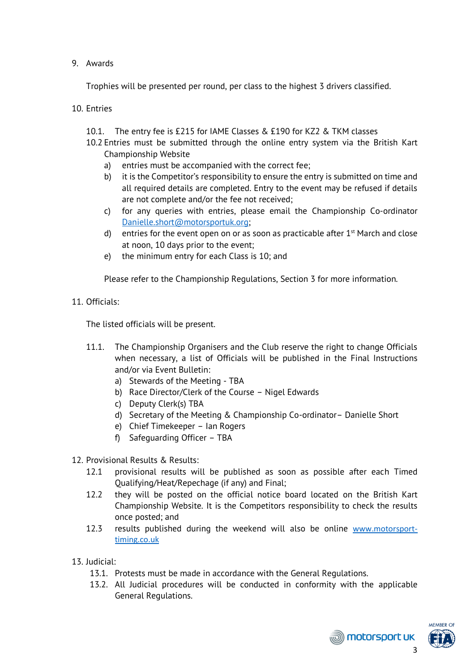## 9. Awards

Trophies will be presented per round, per class to the highest 3 drivers classified.

10. Entries

- 10.1. The entry fee is £215 for IAME Classes & £190 for KZ2 & TKM classes
- 10.2 Entries must be submitted through the online entry system via the British Kart Championship Website
	- a) entries must be accompanied with the correct fee;
	- b) it is the Competitor's responsibility to ensure the entry is submitted on time and all required details are completed. Entry to the event may be refused if details are not complete and/or the fee not received;
	- c) for any queries with entries, please email the Championship Co-ordinator [Danielle.short@motorsportuk.org;](mailto:Danielle.short@motorsportuk.org)
	- d) entries for the event open on or as soon as practicable after  $1<sup>st</sup>$  March and close at noon, 10 days prior to the event;
	- e) the minimum entry for each Class is 10; and

Please refer to the Championship Regulations, Section 3 for more information.

11. Officials:

The listed officials will be present.

- 11.1. The Championship Organisers and the Club reserve the right to change Officials when necessary, a list of Officials will be published in the Final Instructions and/or via Event Bulletin:
	- a) Stewards of the Meeting TBA
	- b) Race Director/Clerk of the Course Nigel Edwards
	- c) Deputy Clerk(s) TBA
	- d) Secretary of the Meeting & Championship Co-ordinator– Danielle Short
	- e) Chief Timekeeper Ian Rogers
	- f) Safeguarding Officer TBA
- 12. Provisional Results & Results:
	- 12.1 provisional results will be published as soon as possible after each Timed Qualifying/Heat/Repechage (if any) and Final;
	- 12.2 they will be posted on the official notice board located on the British Kart Championship Website. It is the Competitors responsibility to check the results once posted; and
	- 12.3 results published during the weekend will also be online [www.motorsport](http://www.motorsport-timing.co.uk/)[timing.co.uk](http://www.motorsport-timing.co.uk/)
- 13. Judicial:
	- 13.1. Protests must be made in accordance with the General Regulations.
	- 13.2. All Judicial procedures will be conducted in conformity with the applicable General Regulations.



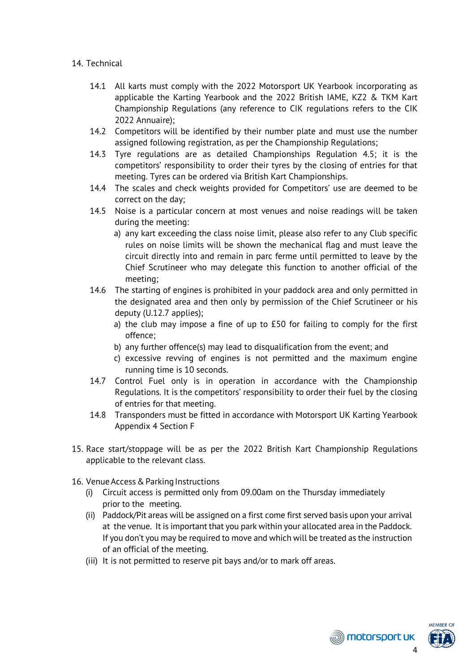## 14. Technical

- 14.1 All karts must comply with the 2022 Motorsport UK Yearbook incorporating as applicable the Karting Yearbook and the 2022 British IAME, KZ2 & TKM Kart Championship Regulations (any reference to CIK regulations refers to the CIK 2022 Annuaire);
- 14.2 Competitors will be identified by their number plate and must use the number assigned following registration, as per the Championship Regulations;
- 14.3 Tyre regulations are as detailed Championships Regulation 4.5; it is the competitors' responsibility to order their tyres by the closing of entries for that meeting. Tyres can be ordered via British Kart Championships.
- 14.4 The scales and check weights provided for Competitors' use are deemed to be correct on the day;
- 14.5 Noise is a particular concern at most venues and noise readings will be taken during the meeting:
	- a) any kart exceeding the class noise limit, please also refer to any Club specific rules on noise limits will be shown the mechanical flag and must leave the circuit directly into and remain in parc ferme until permitted to leave by the Chief Scrutineer who may delegate this function to another official of the meeting;
- 14.6 The starting of engines is prohibited in your paddock area and only permitted in the designated area and then only by permission of the Chief Scrutineer or his deputy (U.12.7 applies);
	- a) the club may impose a fine of up to £50 for failing to comply for the first offence;
	- b) any further offence(s) may lead to disqualification from the event; and
	- c) excessive revving of engines is not permitted and the maximum engine running time is 10 seconds.
- 14.7 Control Fuel only is in operation in accordance with the Championship Regulations. It is the competitors' responsibility to order their fuel by the closing of entries for that meeting.
- 14.8 Transponders must be fitted in accordance with Motorsport UK Karting Yearbook Appendix 4 Section F
- 15. Race start/stoppage will be as per the 2022 British Kart Championship Regulations applicable to the relevant class.
- 16. Venue Access & Parking Instructions
	- (i) Circuit access is permitted only from 09.00am on the Thursday immediately prior to the meeting.
	- (ii) Paddock/Pit areas will be assigned on a first come first served basis upon your arrival at the venue. It is important that you park within your allocated area in the Paddock. If you don't you may be required to move and which will be treated as the instruction of an official of the meeting.
	- (iii) It is not permitted to reserve pit bays and/or to mark off areas.



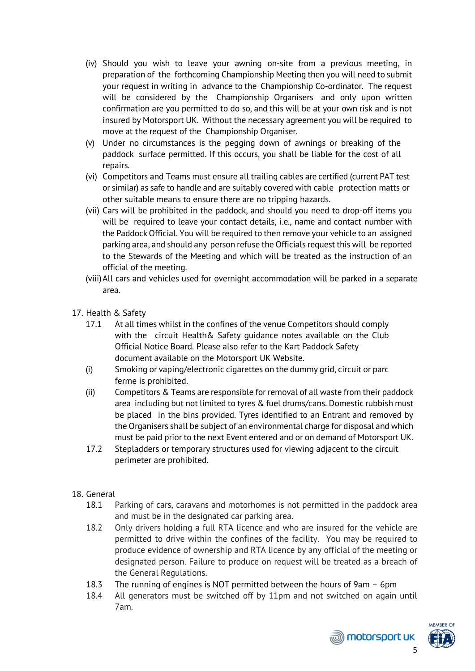- (iv) Should you wish to leave your awning on-site from a previous meeting, in preparation of the forthcoming Championship Meeting then you will need to submit your request in writing in advance to the Championship Co-ordinator. The request will be considered by the Championship Organisers and only upon written confirmation are you permitted to do so, and this will be at your own risk and is not insured by Motorsport UK. Without the necessary agreement you will be required to move at the request of the Championship Organiser.
- (v) Under no circumstances is the pegging down of awnings or breaking of the paddock surface permitted. If this occurs, you shall be liable for the cost of all repairs.
- (vi) Competitors and Teams must ensure all trailing cables are certified (current PAT test or similar) as safe to handle and are suitably covered with cable protection matts or other suitable means to ensure there are no tripping hazards.
- (vii) Cars will be prohibited in the paddock, and should you need to drop-off items you will be required to leave your contact details, i.e., name and contact number with the Paddock Official. You will be required to then remove your vehicle to an assigned parking area, and should any person refuse the Officials request this will be reported to the Stewards of the Meeting and which will be treated as the instruction of an official of the meeting.
- (viii)All cars and vehicles used for overnight accommodation will be parked in a separate area.
- 17. Health & Safety
	- 17.1 At all times whilst in the confines of the venue Competitors should comply with the circuit Health& Safety guidance notes available on the Club Official Notice Board. Please also refer to the Kart Paddock Safety document available on the Motorsport UK Website.
	- (i) Smoking or vaping/electronic cigarettes on the dummy grid, circuit or parc ferme is prohibited.
	- (ii) Competitors & Teams are responsible for removal of all waste from their paddock area including but not limited to tyres & fuel drums/cans. Domestic rubbish must be placed in the bins provided. Tyres identified to an Entrant and removed by the Organisers shall be subject of an environmental charge for disposal and which must be paid prior to the next Event entered and or on demand of Motorsport UK.
	- 17.2 Stepladders or temporary structures used for viewing adjacent to the circuit perimeter are prohibited.
- 18. General
	- 18.1 Parking of cars, caravans and motorhomes is not permitted in the paddock area and must be in the designated car parking area.
	- 18.2 Only drivers holding a full RTA licence and who are insured for the vehicle are permitted to drive within the confines of the facility. You may be required to produce evidence of ownership and RTA licence by any official of the meeting or designated person. Failure to produce on request will be treated as a breach of the General Regulations.
	- 18.3 The running of engines is NOT permitted between the hours of 9am 6pm
	- 18.4 All generators must be switched off by 11pm and not switched on again until 7am.